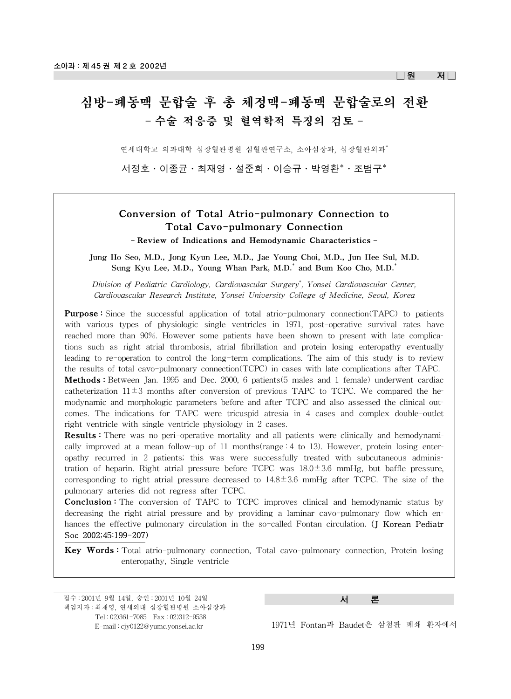$\Box$ 원 저 $\Box$ 

# 심방-폐동맥 문합술 후 총 체정맥-폐동맥 문합술로의 전환 - 수술 적응증 및 혈역학적 특징의 검토 -

연세대학교 의과대학 심장혈관병원 심혈관연구소, 소아심장과, 심장혈관외과\*

서정호·이종균·최재영·설준희·이승규·박영환\*·조범구\*

# Conversion of Total Atrio-pulmonary Connection to Total Cavo-pulmonary Connection - Review of Indications and Hemodynamic Characteristics -

Jung Ho Seo, M.D., Jong Kyun Lee, M.D., Jae Young Choi, M.D., Jun Hee Sul, M.D. Sung Kyu Lee, M.D., Young Whan Park, M.D.\* and Bum Koo Cho, M.D.\*

*Division of Pediatric Cardiology, Cardiovascular Surgery\* , Yonsei Cardiovascular Center, Cardiovascular Research Institute, Yonsei University College of Medicine, Seoul, Korea*

**Purpose :** Since the successful application of total atrio-pulmonary connection(TAPC) to patients with various types of physiologic single ventricles in 1971, post-operative survival rates have reached more than 90%. However some patients have been shown to present with late complications such as right atrial thrombosis, atrial fibrillation and protein losing enteropathy eventually leading to re-operation to control the long-term complications. The aim of this study is to review the results of total cavo-pulmonary connection(TCPC) in cases with late complications after TAPC. Methods : Between Jan. 1995 and Dec. 2000, 6 patients(5 males and 1 female) underwent cardiac catheterization  $11\pm3$  months after conversion of previous TAPC to TCPC. We compared the hemodynamic and morphologic parameters before and after TCPC and also assessed the clinical outcomes. The indications for TAPC were tricuspid atresia in 4 cases and complex double-outlet right ventricle with single ventricle physiology in 2 cases.

Results : There was no peri-operative mortality and all patients were clinically and hemodynamically improved at a mean follow-up of 11 months(range  $:4$  to 13). However, protein losing enteropathy recurred in 2 patients; this was were successfully treated with subcutaneous administration of heparin. Right atrial pressure before TCPC was 18.0±3.6 mmHg, but baffle pressure, corresponding to right atrial pressure decreased to  $14.8 \pm 3.6$  mmHg after TCPC. The size of the pulmonary arteries did not regress after TCPC.

**Conclusion :** The conversion of TAPC to TCPC improves clinical and hemodynamic status by decreasing the right atrial pressure and by providing a laminar cavo-pulmonary flow which enhances the effective pulmonary circulation in the so-called Fontan circulation. (J Korean Pediatr Soc 2002;45:199-207)

Key Words : Total atrio-pulmonary connection, Total cavo-pulmonary connection, Protein losing enteropathy, Single ventricle

접수 : 2001년 9월 14일, 승인 : 2001년 10월 24일 책임저자 : 최재영, 연세의대 심장혈관병원 소아심장과 Tel : 02)361-7085 Fax : 02)312-9538 E-mail : cjy0122@yumc.yonsei.ac.kr

서 론

<sup>1971</sup>년 Fontan과 Baudet은 삼첨판 폐쇄 환자에서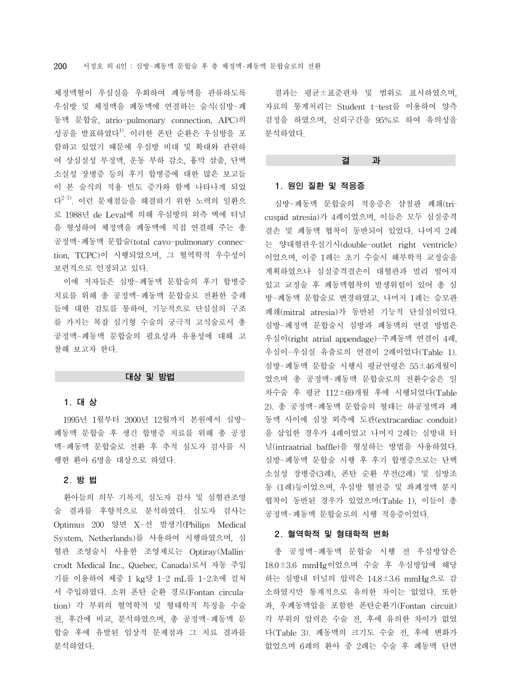체정맥혈이 우심실을 우회하여 폐동맥을 관류하도록 우심방 및 체정맥을 폐동맥에 연결하는 술식(심방-폐 동맥 문합술, atrio-pulmonary connection, APC)의 성공을 발표하였다<sup>1)</sup>. 이러한 폰탄 순환은 우심방을 포 함하고 있었기 때문에 우심방 비대 및 확대와 관련하 여 상심실성 부정맥, 운동 부하 감소, 흉막 삼출, 단백 소실성 장병증 등의 후기 합병증에 대한 많은 보고들 이 본 술식의 적용 빈도 증가와 함께 나타나게 되었 다2-7). 이런 문제점들을 해결하기 위한 노력의 일환으 로 1988년 de Leval에 의해 우심방의 외측 벽에 터널 을 형성하여 체정맥을 폐동맥에 직접 연결해 주는 총 공정맥-폐동맥 문합술(total cavo-pulmonary connection, TCPC)이 시행되었으며, 그 혈역학적 우수성이 보편적으로 인정되고 있다.

이에 저자들은 심방-폐동맥 문합술의 후기 합병증 치료를 위해 총 공정맥-폐동맥 문합술로 전환한 증례 들에 대한 검토를 통하여, 기능적으로 단심실의 구조 를 가지는 복잡 심기형 수술의 궁극적 고식술로서 총 공정맥-폐동맥 문합술의 필요성과 유용성에 대해 고 찰해 보고자 한다.

#### 대상 및 방법

#### 1. 대 상

1995년 1월부터 2000년 12월까지 본원에서 심방-폐동맥 문합술 후 생긴 합병증 치료를 위해 총 공정 맥-폐동맥 문합술로 전환 후 추적 심도자 검사를 시 행한 환아 6명을 대상으로 하였다.

# 2. 방 법

환아들의 의무 기록지, 심도자 검사 및 심혈관조영 술 결과를 후향적으로 분석하였다. 심도자 검사는 Optimus 200 양면 X-선 발생기(Philips Medical System, Netherlands)를 사용하여 시행하였으며, 심 혈관 조영술시 사용한 조영제로는 Optiray(Mallincrodt Medical Inc., Quebec, Canada)로서 자동 주입 기를 이용하여 체중 1 kg당 1-2 mL를 1-2초에 걸쳐 서 주입하였다. 소위 폰탄 순환 경로(Fontan circulation) 각 부위의 혈역학적 및 형태학적 특징을 수술 전, 후간에 비교, 분석하였으며, 총 공정맥-폐동맥 문 합술 후에 유발된 임상적 문제점과 그 치료 결과를 분석하였다.

결과는 평균±표준편차 및 범위로 표시하였으며, 자료의 통계처리는 Student t-test를 이용하여 양측 검정을 하였으며, 신뢰구간을 95%로 하여 유의성을 분석하였다.

#### 결 과

# 1. 원인 질환 및 적응증

심방-폐동맥 문합술의 적응증은 삼첨판 폐쇄(tricuspid atresia)가 4례이었으며, 이들은 모두 심실중격 결손 및 폐동맥 협착이 동반되어 있었다. 나머지 2례 는 양대혈관우실기시(double-outlet right ventricle) 이었으며, 이중 1례는 초기 수술시 해부학적 교정술을 계획하였으나 심실중격결손이 대혈관과 멀리 떨어져 있고 교정술 후 폐동맥협착의 발생위험이 있어 총 심 방-폐동맥 문합술로 변경하였고, 나머지 1례는 승모판 폐쇄(mitral atresia)가 동반된 기능적 단심실이었다. 심방-폐정맥 문합술시 심방과 폐동맥의 연결 방법은 우심이(right atrial appendage)-주폐동맥 연결이 4례, 우심이-우심실 유출로의 연결이 2례이었다(Table 1). 심방-폐동맥 문합술 시행시 평균연령은 55±46개월이 었으며 총 공정맥-폐동맥 문합술로의 전환수술은 일 차수술 후 평균 112±69개월 후에 시행되었다(Table 2). 총 공정맥-폐동맥 문합술의 형태는 하공정맥과 폐 동맥 사이에 심장 외측에 도관(extracardiac conduit) 을 삽입한 경우가 4례이었고 나머지 2례는 심방내 터 널(intraatrial baffle)을 형성하는 방법을 사용하였다. 심방-폐동맥 문합술 시행 후 후기 합병증으로는 단백 소실성 장병증(3례), 폰탄 순환 부전(2례) 및 심방조 동 (1례)등이었으며, 우심방 혈전증 및 좌폐정맥 분지 협착이 동반된 경우가 있었으며(Table 1), 이들이 총 공정맥-폐동맥 문합술로의 시행 적응증이었다.

## 2. 혈역학적 및 형태학적 변화

총 공정맥-폐동맥 문합술 시행 전 우심방압은 18.0±3.6 mmHg이었으며 수술 후 우심방압에 해당 하는 심방내 터널의 압력은 14.8±3.6 mmHg으로 감 소하였지만 통계적으로 유의한 차이는 없었다. 또한 좌, 우폐동맥압을 포함한 폰탄순환기(Fontan circuit) 각 부위의 압력은 수술 전, 후에 유의한 차이가 없었 다(Table 3). 폐동맥의 크기도 수술 전, 후에 변화가 없었으며 6례의 환아 중 2례는 수술 후 폐동맥 단면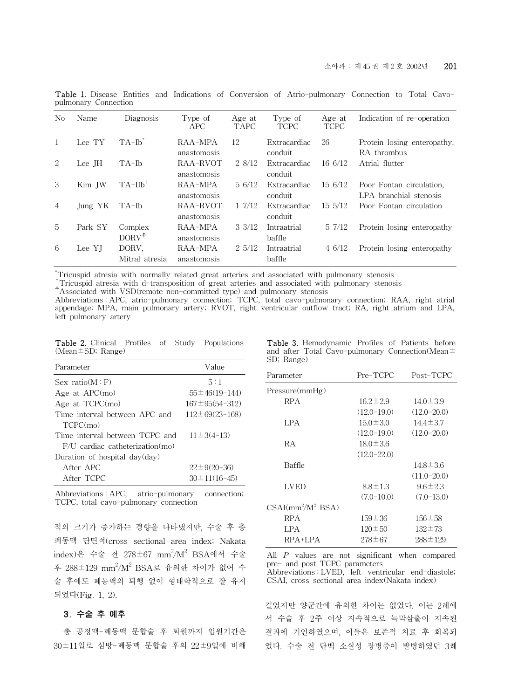| N <sub>0</sub> | Name    | Diagnosis               | Type of<br><b>APC</b>   | Age at<br><b>TAPC</b> | Type of<br><b>TCPC</b>  | Age at<br><b>TCPC</b> | Indication of re-operation                         |
|----------------|---------|-------------------------|-------------------------|-----------------------|-------------------------|-----------------------|----------------------------------------------------|
| 1              | Lee TY  | $TA$ -Ib <sup>*</sup>   | RAA-MPA<br>anastomosis  | 12                    | Extracardiac<br>conduit | 26                    | Protein losing enteropathy.<br>RA thrombus         |
| 2              | Lee JH  | TA-Ib                   | RAA-RVOT<br>anastomosis | 2 8/12                | Extracardiac<br>conduit | $16\frac{6}{12}$      | Atrial flutter                                     |
| 3              | Kim IW  | $TA-IIb^{\dagger}$      | RAA-MPA<br>anastomosis  | $5\frac{6}{12}$       | Extracardiac<br>conduit | 15 6/12               | Poor Fontan circulation.<br>LPA branchial stenosis |
| 4              | Jung YK | TA-Ib                   | RAA-RVOT<br>anastomosis | 17/12                 | Extracardiac<br>conduit | $15\frac{5}{12}$      | Poor Fontan circulation                            |
| 5              | Park SY | Complex<br>$DORV^+$     | RAA-MPA<br>anastomosis  | $3 \frac{3}{12}$      | Intraatrial<br>baffle   | 57/12                 | Protein losing enteropathy                         |
| 6              | Lee YI  | DORV.<br>Mitral atresia | RAA-MPA<br>anastomosis  | $2\frac{5}{12}$       | Intraatrial<br>baffle   | 46/12                 | Protein losing enteropathy                         |
|                |         |                         |                         |                       |                         |                       |                                                    |

Table 1. Disease Entities and Indications of Conversion of Atrio-pulmonary Connection to Total Cavopulmonary Connection

Tricuspid atresia with normally related great arteries and associated with pulmonary stenosis

Tricuspid atresia with d-transposition of great arteries and associated with pulmonary stenosis<br>
<sup>+</sup>Associated with VSD(remote non-committed type) and pulmonary stenosis

Abbreviations : APC, atrio-pulmonary connection; TCPC, total cavo-pulmonary connection; RAA, right atrial appendage; MPA, main pulmonary artery; RVOT, right ventricular outflow tract; RA, right atrium and LPA, left pulmonary artery

Table 2. Clinical Profiles of Study Populations (Mean±SD; Range)

| Parameter                         | Value                  |
|-----------------------------------|------------------------|
| Sex ratio(M : F)                  | 5:1                    |
| Age at $APC(mo)$                  | $55 \pm 46(19 - 144)$  |
| Age at TCPC(mo)                   | $167 \pm 95(54 - 312)$ |
| Time interval between APC and     | $112 \pm 69(23 - 168)$ |
| TCPC(mo)                          |                        |
| Time interval between TCPC and    | $11 \pm 3(4-13)$       |
| $F/U$ cardiac catheterization(mo) |                        |
| Duration of hospital day(day)     |                        |
| After APC                         | $22 \pm 9(20 - 36)$    |
| After TCPC                        | $30 \pm 11(16 - 45)$   |

Abbreviations : APC, atrio-pulmonary connection; TCPC, total cavo-pulmonary connection

적의 크기가 증가하는 경향을 나타냈지만, 수술 후 총 폐동맥 단면적(cross sectional area index; Nakata index)은 수술 전 278 $\pm$ 67 mm $^2$ /M $^2$  BSA에서 수술 후 288±129 mm<sup>2</sup>/M<sup>2</sup> BSA로 유의한 차이가 없어 수 술 후에도 폐동맥의 퇴행 없이 형태학적으로 잘 유지 되었다(Fig. 1, 2).

# 3. 수술 후 예후

총 공정맥-폐동맥 문합술 후 퇴원까지 입원기간은 30±11일로 심방-폐동맥 문합술 후의 22±9일에 비해

Table 3. Hemodynamic Profiles of Patients before and after Total Cavo-pulmonary Connection(Mean $\pm$ SD; Range)

| Parameter            | Pre-TCPC        | Post-TCPC       |
|----------------------|-----------------|-----------------|
| Pressure(mmHg)       |                 |                 |
| RPA                  | $16.2 \pm 2.9$  | $14.0 \pm 3.9$  |
|                      | $(12.0 - 19.0)$ | $(12.0 - 20.0)$ |
| LPA                  | $15.0 \pm 3.0$  | $14.4 \pm 3.7$  |
|                      | $(12.0 - 19.0)$ | $(12.0 - 20.0)$ |
| RА                   | $18.0 \pm 3.6$  |                 |
|                      | $(12.0 - 22.0)$ |                 |
| Baffle               |                 | $14.8 \pm 3.6$  |
|                      |                 | $(11.0 - 20.0)$ |
| <b>LVED</b>          | $8.8 \pm 1.3$   | $9.6 \pm 2.3$   |
|                      | $(7.0 - 10.0)$  | $(7.0-13.0)$    |
| $CSAI/mm^2/M^2$ BSA) |                 |                 |
| RPA                  | $159 \pm 36$    | $156 \pm 58$    |
| LPA                  | $120 \pm 50$    | $132 \pm 73$    |
| RPA+LPA              | 278±67          | $288 \pm 129$   |
|                      |                 |                 |

All *P* values are not significant when compared pre- and post TCPC parameters Abbreviations : LVED, left ventricular end-diastole;

CSAI, cross sectional area index(Nakata index)

길었지만 양군간에 유의한 차이는 없었다. 이는 2례에 서 수술 후 2주 이상 지속적으로 늑막삼출이 지속된 결과에 기인하였으며, 이들은 보존적 치료 후 회복되 었다. 수술 전 단백 소실성 장병증이 발병하였던 3례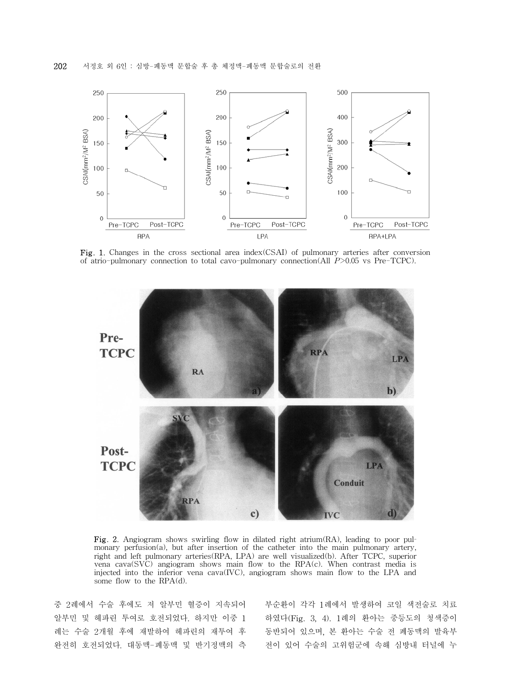

Fig. 1. Changes in the cross sectional area index(CSAI) of pulmonary arteries after conversion of atrio-pulmonary connection to total cavo-pulmonary connection(All *P*>0.05 vs Pre-TCPC).



Fig. 2. Angiogram shows swirling flow in dilated right atrium(RA), leading to poor pulmonary perfusion(a), but after insertion of the catheter into the main pulmonary artery, right and left pulmonary arteries(RPA, LPA) are well visualized(b). After TCPC, superior vena cava(SVC) angiogram shows main flow to the RPA(c). When contrast media is injected into the inferior vena cava(IVC), angiogram shows main flow to the LPA and some flow to the RPA(d).

중 2례에서 수술 후에도 저 알부민 혈증이 지속되어 알부민 및 헤파린 투여로 호전되었다. 하지만 이중 1 례는 수술 2개월 후에 재발하여 헤파린의 재투여 후 완전히 호전되었다. 대동맥-폐동맥 및 반기정맥의 측 부순환이 각각 1례에서 발생하여 코일 색전술로 치료 하였다(Fig. 3, 4). 1례의 환아는 중등도의 청색증이 동반되어 있으며, 본 환아는 수술 전 폐동맥의 발육부 전이 있어 수술의 고위험군에 속해 심방내 터널에 누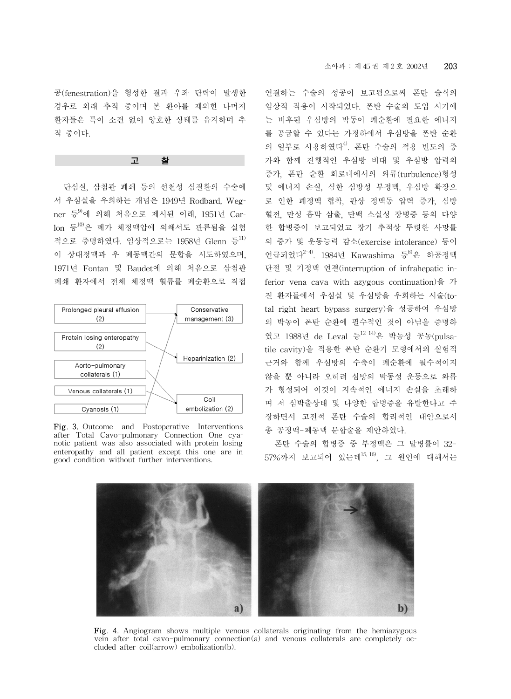공(fenestration)을 형성한 결과 우좌 단락이 발생한 경우로 외래 추적 중이며 본 환아를 제외한 나머지 환자들은 특이 소견 없이 양호한 상태를 유지하며 추 적 중이다.

## 고

단심실, 삼첨판 폐쇄 등의 선천성 심질환의 수술에 서 우심실을 우회하는 개념은 1949년 Rodbard, Wegner 등 에 의해 처음으로 제시된 이래, 1951년 Carlon 등10)은 폐가 체정맥압에 의해서도 관류됨을 실험 적으로 증명하였다. 임상적으로는 1958년 Glenn 등<sup>11)</sup> 이 상대정맥과 우 폐동맥간의 문합을 시도하였으며, 1971년 Fontan 및 Baudet에 의해 처음으로 삼첨판 폐쇄 환자에서 전체 체정맥 혈류를 폐순환으로 직접



Fig. 3. Outcome and Postoperative Interventions after Total Cavo-pulmonary Connection One cyanotic patient was also associated with protein losing enteropathy and all patient except this one are in good condition without further interventions.

연결하는 수술의 성공이 보고됨으로써 폰탄 술식의 임상적 적용이 시작되었다. 폰탄 수술의 도입 시기에 는 비후된 우심방의 박동이 폐순환에 필요한 에너지 를 공급할 수 있다는 가정하에서 우심방을 폰탄 순환 의 일부로 사용하였다<sup>4)</sup>. 폰탄 수술의 적용 빈도의 증 가와 함께 진행적인 우심방 비대 및 우심방 압력의 증가, 폰탄 순환 회로내에서의 와류(turbulence)형성 및 에너지 손실, 심한 심방성 부정맥, 우심방 확장으 로 인한 폐정맥 협착, 관상 정맥동 압력 증가, 심방 혈전, 만성 흉막 삼출, 단백 소실성 장병증 등의 다양 한 합병증이 보고되었고 장기 추적상 뚜렷한 사망률 의 증가 및 운동능력 감소(exercise intolerance) 등이 언급되었다 $^{2-4)}$ . 1984년 Kawashima 등 $^{80}$ 은 하공정맥 단절 및 기정맥 연결(interruption of infrahepatic inferior vena cava with azygous continuation)을 가 진 환자들에서 우심실 및 우심방을 우회하는 시술(total right heart bypass surgery)을 성공하여 우심방 의 박동이 폰탄 순환에 필수적인 것이 아님을 증명하 였고 1988년 de Leval 등12-14)은 박동성 공동(pulsatile cavity)을 적용한 폰탄 순환기 모형에서의 실험적 근거와 함께 우심방의 수축이 폐순환에 필수적이지 않을 뿐 아니라 오히려 심방의 박동성 운동으로 와류 가 형성되어 이것이 지속적인 에너지 손실을 초래하 며 저 심박출상태 및 다양한 합병증을 유발한다고 주 장하면서 고전적 폰탄 수술의 합리적인 대안으로서 총 공정맥-폐동맥 문합술을 제안하였다.

폰탄 수술의 합병증 중 부정맥은 그 발병률이 32- 57%까지 보고되어 있는데<sup>15, 16</sup>, 그 원인에 대해서는



Fig. 4. Angiogram shows multiple venous collaterals originating from the hemiazygous vein after total cavo-pulmonary connection(a) and venous collaterals are completely occluded after coil(arrow) embolization(b).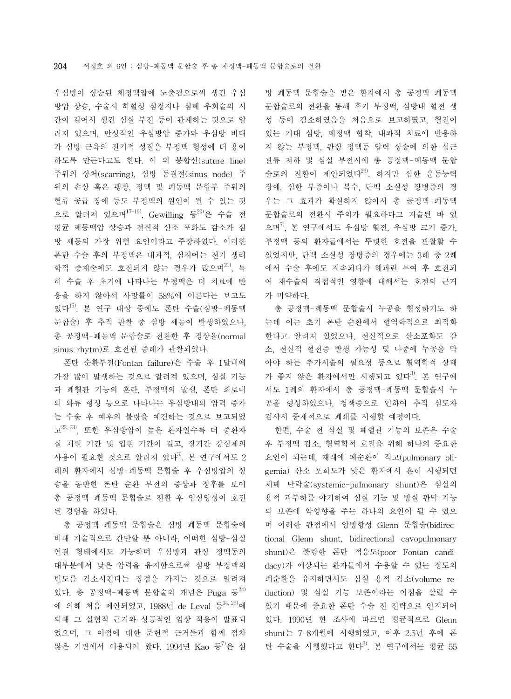우심방이 상승된 체정맥압에 노출됨으로써 생긴 우심 방압 상승, 수술시 허혈성 심정지나 심폐 우회술의 시 간이 길어서 생긴 심실 부전 등이 관계하는 것으로 알 려져 있으며, 만성적인 우심방압 증가와 우심방 비대 가 심방 근육의 전기적 성질을 부정맥 형성에 더 용이 하도록 만든다고도 한다. 이 외 봉합선(suture line) 주위의 상처(scarring), 심방 동결절(sinus node) 주 위의 손상 혹은 팽창, 정맥 및 폐동맥 문합부 주위의 혈류 공급 장애 등도 부정맥의 원인이 될 수 있는 것 으로 알려져 있으며 $1^{7-19}$ , Gewilling 등 $20$ 은 수술 전 평균 폐동맥압 상승과 전신적 산소 포화도 감소가 심 방 세동의 가장 위험 요인이라고 주장하였다. 이러한 폰탄 수술 후의 부정맥은 내과적, 심지어는 전기 생리 학적 중재술에도 호전되지 않는 경우가 많으며<sup>21)</sup>. 특 히 수술 후 초기에 나타나는 부정맥은 더 치료에 반 응을 하지 않아서 사망률이 58%에 이른다는 보고도 있다15). 본 연구 대상 중에도 폰탄 수술(심방-폐동맥 문합술) 후 추적 관찰 중 심방 세동이 발생하였으나, 총 공정맥-폐동맥 문합술로 전환한 후 정상율(normal sinus rhytm)로 호전된 증례가 관찰되었다.

폰탄 순환부전(Fontan failure)은 수술 후 1달내에 가장 많이 발생하는 것으로 알려져 있으며, 심실 기능 과 폐혈관 기능의 혼란, 부정맥의 발생, 폰탄 회로내 의 와류 형성 등으로 나타나는 우심방내의 압력 증가 는 수술 후 예후의 불량을 예견하는 것으로 보고되었  $\mathbb{Z}^{22, 23}$ , 또한 우심방압이 높은 환자일수록 더 중환자 실 재원 기간 및 입원 기간이 길고, 장기간 강심제의 사용이 필요한 것으로 알려져 있다<sup>3)</sup>. 본 연구에서도 2 례의 환자에서 심방-폐동맥 문합술 후 우심방압의 상 승을 동반한 폰탄 순환 부전의 증상과 징후를 보여 총 공정맥-폐동맥 문합술로 전환 후 임상양상이 호전 된 경험을 하였다.

총 공정맥-폐동맥 문합술은 심방-폐동맥 문합술에 비해 기술적으로 간단할 뿐 아니라, 어떠한 심방-심실 연결 형태에서도 가능하며 우심방과 관상 정맥동의 대부분에서 낮은 압력을 유지함으로써 심방 부정맥의 빈도를 감소시킨다는 장점을 가지는 것으로 알려져 있다. 총 공정맥-폐동맥 문합술의 개념은 Puga 등 24) 에 의해 처음 제안되었고, 1988년 de Leval 등<sup>14, 25)</sup>에 의해 그 실험적 근거와 성공적인 임상 적용이 발표되 었으며, 그 이점에 대한 문헌적 근거들과 함께 점차 많은 기관에서 이용되어 왔다. 1994년 Kao 등 <sup>2</sup>은 심 방-폐동맥 문합술을 받은 환자에서 총 공정맥-폐동맥 문합술로의 전환을 통해 후기 부정맥, 심방내 혈전 생 성 등이 감소하였음을 처음으로 보고하였고, 혈전이 있는 거대 심방, 폐정맥 협착, 내과적 치료에 반응하 지 않는 부정맥, 관상 정맥동 압력 상승에 의한 심근 관류 저하 및 심실 부전시에 총 공정맥-폐동맥 문합 술로의 전환이 제안되었다<sup>26)</sup>. 하지만 심한 운동능력 장애, 심한 부종이나 복수, 단백 소실성 장병증의 경 우는 그 효과가 확실하지 않아서 총 공정맥-폐동맥 문합술로의 전환시 주의가 필요하다고 기술된 바 있 으며 $^{7)}$ , 본 연구에서도 우심방 혈전, 우심방 크기 증가, 부정맥 등의 환자들에서는 뚜렷한 호전을 관찰할 수 있었지만, 단백 소실성 장병증의 경우에는 3례 중 2례 에서 수술 후에도 지속되다가 헤파린 투여 후 호전되 어 재수술의 직접적인 영향에 대해서는 호전의 근거 가 미약하다.

총 공정맥-폐동맥 문합술시 누공을 형성하기도 하 는데 이는 초기 폰탄 순환에서 혈역학적으로 최적화 한다고 알려져 있었으나, 전신적으로 산소포화도 감 소, 전신적 혈전증 발생 가능성 및 나중에 누공을 막 아야 하는 추가시술의 필요성 등으로 혈역학적 상태 가 좋지 않은 환자에서만 시행되고 있다<sup>3)</sup>. 본 연구에 서도 1례의 환자에서 총 공정맥-폐동맥 문합술시 누 공을 형성하였으나, 청색증으로 인하여 추적 심도자 검사시 중재적으로 폐쇄를 시행할 예정이다.

한편, 수술 전 심실 및 폐혈관 기능의 보존은 수술 후 부정맥 감소, 혈역학적 호전을 위해 하나의 중요한 요인이 되는데, 재래에 폐순환이 적고(pulmonary oligemia) 산소 포화도가 낮은 환자에서 흔히 시행되던 체폐 단락술(systemic-pulmonary shunt)은 심실의 용적 과부하를 야기하여 심실 기능 및 방실 판막 기능 의 보존에 악영향을 주는 하나의 요인이 될 수 있으 며 이러한 관점에서 양방향성 Glenn 문합술(bidirectional Glenn shunt, bidirectional cavopulmonary shunt)은 불량한 폰탄 적응도(poor Fontan candidacy)가 예상되는 환자들에서 수용할 수 있는 정도의 폐순환을 유지하면서도 심실 용적 감소(volume reduction) 및 심실 기능 보존이라는 이점을 살릴 수 있기 때문에 중요한 폰탄 수술 전 전략으로 인지되어 있다. 1990년 한 조사에 따르면 평균적으로 Glenn shunt는 7-8개월에 시행하였고, 이후 2.5년 후에 폰 탄 수술을 시행했다고 한다<sup>3)</sup>. 본 연구에서는 평균 55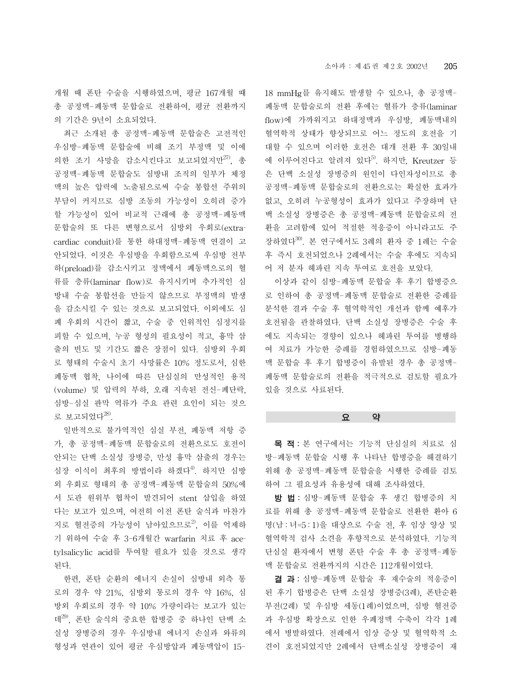개월 때 폰탄 수술을 시행하였으며, 평균 167개월 때 총 공정맥-폐동맥 문합술로 전환하여, 평균 전환까지 의 기간은 9년이 소요되었다.

최근 소개된 총 공정맥-폐동맥 문합술은 고전적인 우심방-폐동맥 문합술에 비해 조기 부정맥 및 이에 의한 조기 사망을 감소시킨다고 보고되었지만 $^{27)}$ , 총 공정맥-폐동맥 문합술도 심방내 조직의 일부가 체정 맥의 높은 압력에 노출됨으로써 수술 봉합선 주위의 부담이 커지므로 심방 조동의 가능성이 오히려 증가 할 가능성이 있어 비교적 근래에 총 공정맥-폐동맥 문합술의 또 다른 변형으로서 심방외 우회로(extracardiac conduit)를 통한 하대정맥-폐동맥 연결이 고 안되었다. 이것은 우심방을 우회함으로써 우심방 전부 하(preload)를 감소시키고 정맥에서 폐동맥으로의 혈 류를 층류(laminar flow)로 유지시키며 추가적인 심 방내 수술 봉합선을 만들지 않으므로 부정맥의 발생 을 감소시킬 수 있는 것으로 보고되었다. 이외에도 심 폐 우회의 시간이 짧고, 수술 중 인위적인 심정지를 피할 수 있으며, 누공 형성의 필요성이 적고, 흉막 삼 출의 빈도 및 기간도 짧은 장점이 있다. 심방외 우회 로 형태의 수술시 초기 사망률은 10% 정도로서, 심한 폐동맥 협착, 나이에 따른 단심실의 만성적인 용적 (volume) 및 압력의 부하, 오래 지속된 전신-폐단락, 심방-심실 판막 역류가 주요 관련 요인이 되는 것으 로 보고되었다 $^{28}$ .

일반적으로 불가역적인 심실 부전, 폐동맥 저항 증 가, 총 공정맥-폐동맥 문합술로의 전환으로도 호전이 안되는 단백 소실성 장병증, 만성 흉막 삼출의 경우는 심장 이식이 최후의 방법이라 하겠다<sup>4)</sup>. 하지만 심방 외 우회로 형태의 총 공정맥-폐동맥 문합술의 50%에 서 도관 원위부 협착이 발견되어 stent 삽입을 하였 다는 보고가 있으며, 여전히 이전 폰탄 술식과 마찬가 지로 혈전증의 가능성이 남아있으므로<sup>2)</sup>. 이를 억제하 기 위하여 수술 후 3-6개월간 warfarin 치료 후 acetylsalicylic acid를 투여할 필요가 있을 것으로 생각 된다.

한편, 폰탄 순환의 에너지 손실이 심방내 외측 통 로의 경우 약 21%, 심방외 통로의 경우 약 16%, 심 방외 우회로의 경우 약 10% 가량이라는 보고가 있는 데29), 폰탄 술식의 중요한 합병증 중 하나인 단백 소 실성 장병증의 경우 우심방내 에너지 손실과 와류의 형성과 연관이 있어 평균 우심방압과 폐동맥압이 1518 mmHg를 유지해도 발생할 수 있으나, 총 공정맥-폐동맥 문합술로의 전환 후에는 혈류가 층류(laminar flow)에 가까워지고 하대정맥과 우심방, 폐동맥내의 혈역학적 상태가 향상되므로 어느 정도의 호전을 기 대할 수 있으며 이러한 호전은 대개 전환 후 30일내 에 이루어진다고 알려져 있다 $^{5}$ . 하지만, Kreutzer 등 은 단백 소실성 장병증의 원인이 다인자성이므로 총 공정맥-폐동맥 문합술로의 전환으로는 확실한 효과가 없고, 오히려 누공형성이 효과가 있다고 주장하며 단 백 소실성 장병증은 총 공정맥-폐동맥 문합술로의 전 환을 고려함에 있어 적절한 적응증이 아니라고도 주 장하였다30). 본 연구에서도 3례의 환자 중 1례는 수술 후 즉시 호전되었으나 2례에서는 수술 후에도 지속되 어 저 분자 헤파린 지속 투여로 호전을 보았다.

이상과 같이 심방-폐동맥 문합술 후 후기 합병증으 로 인하여 총 공정맥-폐동맥 문합술로 전환한 증례를 분석한 결과 수술 후 혈역학적인 개선과 함께 예후가 호전됨을 관찰하였다. 단백 소실성 장병증은 수술 후 에도 지속되는 경향이 있으나 헤파린 투여를 병행하 여 치료가 가능한 증례를 경험하였으므로 심방-폐동 맥 문합술 후 후기 합병증이 유발된 경우 총 공정맥-폐동맥 문합술로의 전환을 적극적으로 검토할 필요가 있을 것으로 사료된다.

# 요 약

목 적: 본 연구에서는 기능적 단심실의 치료로 심 방-폐동맥 문합술 시행 후 나타난 합병증을 해결하기 위해 총 공정맥-폐동맥 문합술을 시행한 증례를 검토 하여 그 필요성과 유용성에 대해 조사하였다.

방 법: 심방-폐동맥 문합술 후 생긴 합병증의 치 료를 위해 총 공정맥-폐동맥 문합술로 전환한 환아 6 명(남 : 녀=5 : 1)을 대상으로 수술 전, 후 임상 양상 및 혈역학적 검사 소견을 후향적으로 분석하였다. 기능적 단심실 환자에서 변형 폰탄 수술 후 총 공정맥-폐동 맥 문합술로 전환까지의 시간은 112개월이었다.

결 과: 심방-폐동맥 문합술 후 재수술의 적응증이 된 후기 합병증은 단백 소실성 장병증(3례), 폰탄순환 부전(2례) 및 우심방 세동(1례)이었으며, 심방 혈전증 과 우심방 확장으로 인한 우폐정맥 수축이 각각 1례 에서 병발하였다. 전례에서 임상 증상 및 혈역학적 소 견이 호전되었지만 2례에서 단백소실성 장병증이 재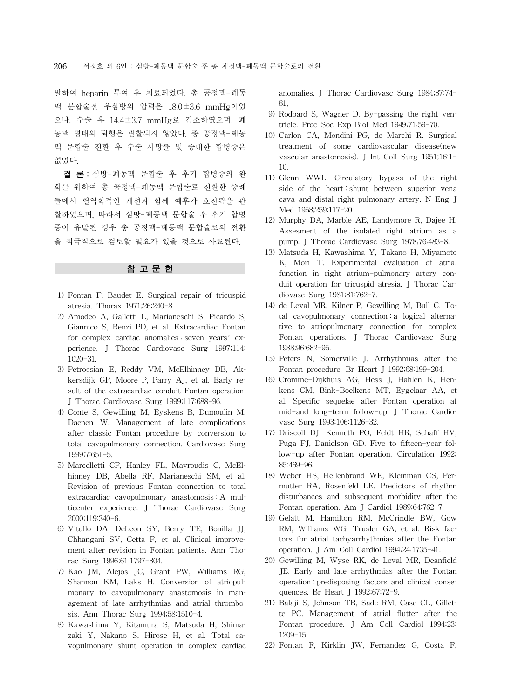발하여 heparin 투여 후 치료되었다. 총 공정맥-폐동 맥 문합술전 우심방의 압력은 18.0±3.6 mmHg이었 으나, 수술 후 14.4±3.7 mmHg로 감소하였으며, 폐 동맥 형태의 퇴행은 관찰되지 않았다. 총 공정맥-폐동 맥 문합술 전환 후 수술 사망률 및 중대한 합병증은 없었다.

결 론: 심방-폐동맥 문합술 후 후기 합병증의 완 화를 위하여 총 공정맥-폐동맥 문합술로 전환한 증례 들에서 혈역학적인 개선과 함께 예후가 호전됨을 관 찰하였으며, 따라서 심방-폐동맥 문합술 후 후기 합병 증이 유발된 경우 총 공정맥-폐동맥 문합술로의 전환 을 적극적으로 검토할 필요가 있을 것으로 사료된다.

## 참 고 문 헌

- 1) Fontan F, Baudet E. Surgical repair of tricuspid atresia. Thorax 1971;26:240-8.
- 2) Amodeo A, Galletti L, Marianeschi S, Picardo S, Giannico S, Renzi PD, et al. Extracardiac Fontan for complex cardiac anomalies : seven years' experience. J Thorac Cardiovasc Surg 1997;114: 1020-31.
- 3) Petrossian E, Reddy VM, McElhinney DB, Akkersdijk GP, Moore P, Parry AJ, et al. Early result of the extracardiac conduit Fontan operation. J Thorac Cardiovasc Surg 1999;117:688-96.
- 4) Conte S, Gewilling M, Eyskens B, Dumoulin M, Daenen W. Management of late complications after classic Fontan procedure by conversion to total cavopulmonary connection. Cardiovasc Surg 1999;7:651-5.
- 5) Marcelletti CF, Hanley FL, Mavroudis C, McElhinney DB, Abella RF, Marianeschi SM, et al. Revision of previous Fontan connection to total extracardiac cavopulmonary anastomosis : A multicenter experience. J Thorac Cardiovasc Surg 2000;119:340-6.
- 6) Vitullo DA, DeLeon SY, Berry TE, Bonilla JJ, Chhangani SV, Cetta F, et al. Clinical improvement after revision in Fontan patients. Ann Thorac Surg 1996;61:1797-804.
- 7) Kao JM, Alejos JC, Grant PW, Williams RG, Shannon KM, Laks H. Conversion of atriopulmonary to cavopulmonary anastomosis in management of late arrhythmias and atrial thrombosis. Ann Thorac Surg 1994;58:1510-4.
- 8) Kawashima Y, Kitamura S, Matsuda H, Shimazaki Y, Nakano S, Hirose H, et al. Total cavopulmonary shunt operation in complex cardiac

anomalies. J Thorac Cardiovasc Surg 1984;87:74- 81,

- 9) Rodbard S, Wagner D. By-passing the right ventricle. Proc Soc Exp Biol Med 1949;71:59-70.
- 10) Carlon CA, Mondini PG, de Marchi R. Surgical treatment of some cardiovascular disease(new vascular anastomosis). J Int Coll Surg 1951;16:1- 10.
- 11) Glenn WWL. Circulatory bypass of the right side of the heart : shunt between superior vena cava and distal right pulmonary artery. N Eng J Med 1958;259:117-20.
- 12) Murphy DA, Marble AE, Landymore R, Dajee H. Assesment of the isolated right atrium as a pump. J Thorac Cardiovasc Surg 1978;76:483-8.
- 13) Matsuda H, Kawashima Y, Takano H, Miyamoto K, Mori T. Experimental evaluation of atrial function in right atrium-pulmonary artery conduit operation for tricuspid atresia. J Thorac Cardiovasc Surg 1981;81:762-7.
- 14) de Leval MR, Kilner P, Gewilling M, Bull C. Total cavopulmonary connection : a logical alternative to atriopulmonary connection for complex Fontan operations. J Thorac Cardiovasc Surg 1988;96:682-95.
- 15) Peters N, Somerville J. Arrhythmias after the Fontan procedure. Br Heart J 1992;68:199-204.
- 16) Cromme-Dijkhuis AG, Hess J, Hahlen K, Henkens CM, Bink-Boelkens MT, Eygelaar AA, et al. Specific sequelae after Fontan operation at mid-and long-term follow-up. J Thorac Cardiovasc Surg 1993;106:1126-32.
- 17) Driscoll DJ, Kenneth PO, Feldt HR, Schaff HV, Puga FJ, Danielson GD. Five to fifteen-year follow-up after Fontan operation. Circulation 1992; 85:469-96.
- 18) Weber HS, Hellenbrand WE, Kleinman CS, Permutter RA, Rosenfeld LE. Predictors of rhythm disturbances and subsequent morbidity after the Fontan operation. Am J Cardiol 1989;64:762-7.
- 19) Gelatt M, Hamilton RM, McCrindle BW, Gow RM, Williams WG, Trusler GA, et al. Risk factors for atrial tachyarrhythmias after the Fontan operation. J Am Coll Cardiol 1994;24:1735-41.
- 20) Gewilling M, Wyse RK, de Leval MR, Deanfield JE. Early and late arrhythmias after the Fontan operation : predisposing factors and clinical consequences. Br Heart J 1992;67:72-9.
- 21) Balaji S, Johnson TB, Sade RM, Case CL, Gillette PC. Management of atrial flutter after the Fontan procedure. J Am Coll Cardiol 1994;23: 1209-15.
- 22) Fontan F, Kirklin JW, Fernandez G, Costa F,